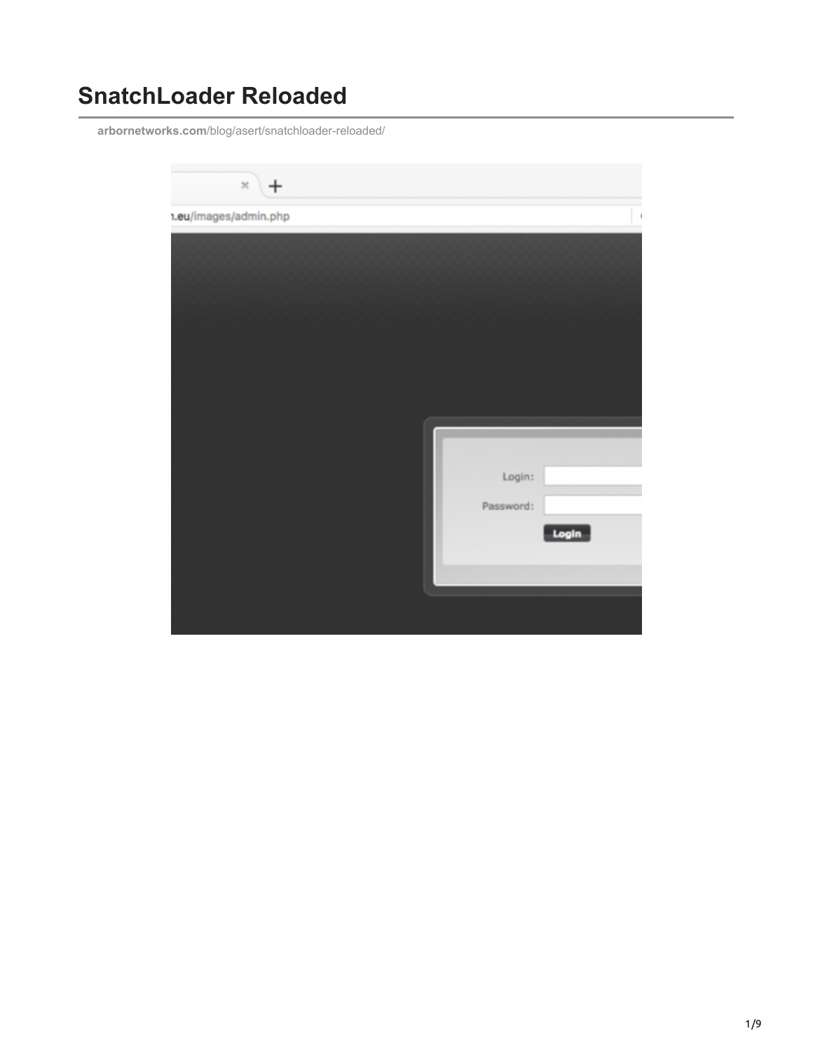# **SnatchLoader Reloaded**

**arbornetworks.com**[/blog/asert/snatchloader-reloaded/](https://www.arbornetworks.com/blog/asert/snatchloader-reloaded/)

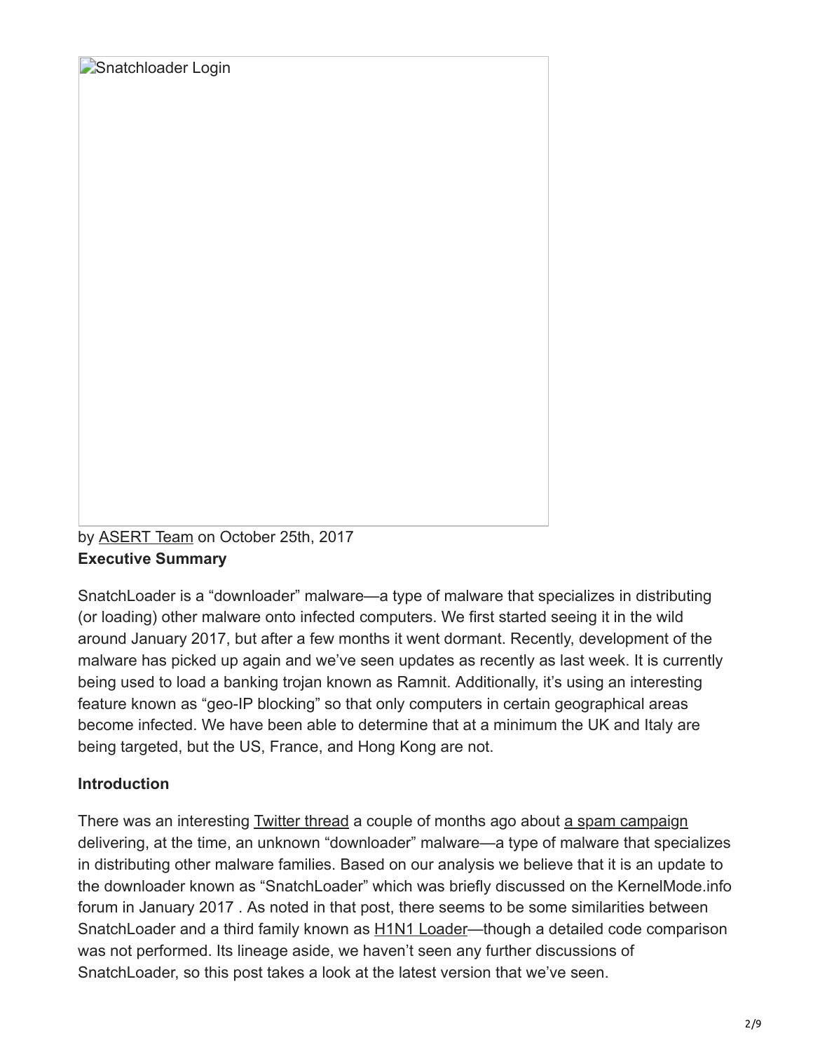Snatchloader Login

by [ASERT Team](https://www.netscout.com/blog/asert/asert-team) on October 25th, 2017 **Executive Summary**

SnatchLoader is a "downloader" malware—a type of malware that specializes in distributing (or loading) other malware onto infected computers. We first started seeing it in the wild around January 2017, but after a few months it went dormant. Recently, development of the malware has picked up again and we've seen updates as recently as last week. It is currently being used to load a banking trojan known as Ramnit. Additionally, it's using an interesting feature known as "geo-IP blocking" so that only computers in certain geographical areas become infected. We have been able to determine that at a minimum the UK and Italy are being targeted, but the US, France, and Hong Kong are not.

## **Introduction**

There was an interesting [Twitter thread](https://twitter.com/dvk01uk/status/898431354873851904) a couple of months ago about [a spam campaign](https://myonlinesecurity.co.uk/your-order-no-8194788-has-been-processed-malspam-delivers-malware/) delivering, at the time, an unknown "downloader" malware—a type of malware that specializes in distributing other malware families. Based on our analysis we believe that it is an update to the downloader known as "SnatchLoader" which was briefly discussed on the KernelMode.info forum in January 2017 . As noted in that post, there seems to be some similarities between SnatchLoader and a third family known as [H1N1 Loader](http://asert.arbornetworks.com/flu-season-starting-early-the-h1n1-loader/)—though a detailed code comparison was not performed. Its lineage aside, we haven't seen any further discussions of SnatchLoader, so this post takes a look at the latest version that we've seen.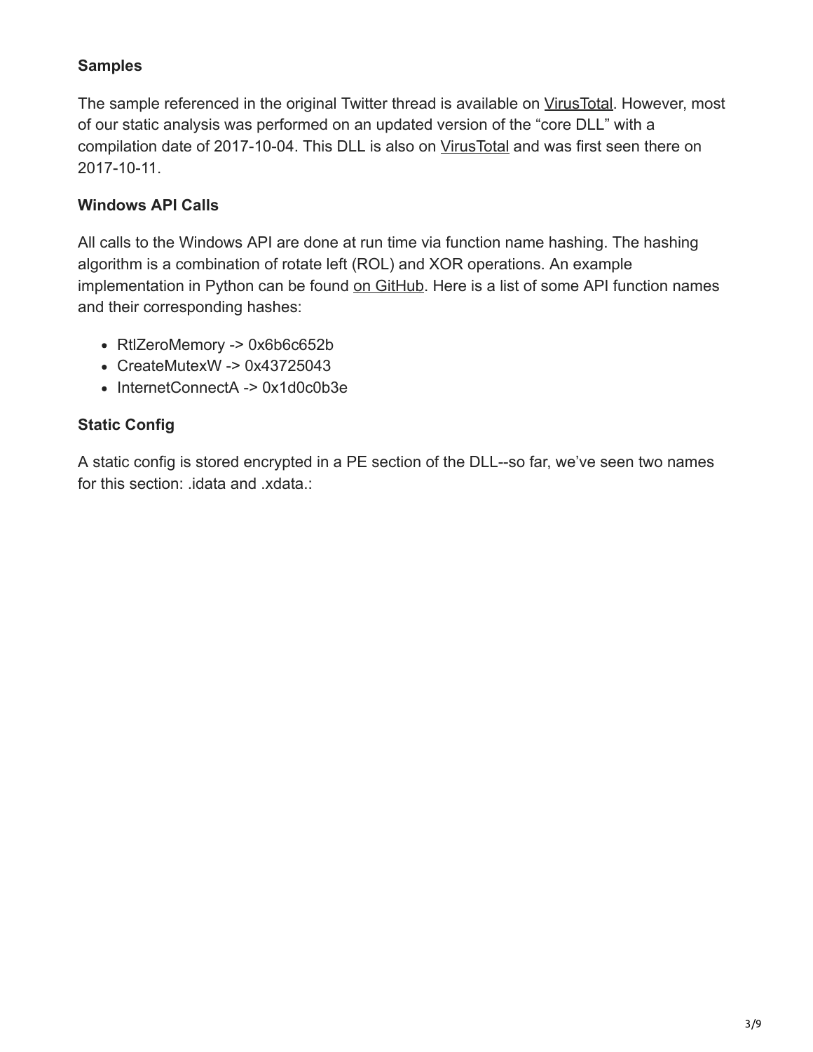#### **Samples**

The sample referenced in the original Twitter thread is available on [VirusTotal](https://www.virustotal.com/en/file/41e698c7f1febdb53b9b7eae0f48fd93949602d0631d6f6b7dc0768958f7107a/analysis/). However, most of our static analysis was performed on an updated version of the "core DLL" with a compilation date of 2017-10-04. This DLL is also on [VirusTotal](https://www.virustotal.com/en/file/075420f10a1b4fc7302c5e95e578e8397b93019acc0f7f018dc7453a9266e17e/analysis/) and was first seen there on 2017-10-11.

#### **Windows API Calls**

All calls to the Windows API are done at run time via function name hashing. The hashing algorithm is a combination of rotate left (ROL) and XOR operations. An example implementation in Python can be found [on GitHub.](https://github.com/tildedennis/malware/blob/master/snatch_loader/api_hash.py) Here is a list of some API function names and their corresponding hashes:

- RtlZeroMemory -> 0x6b6c652b
- CreateMutexW -> 0x43725043
- InternetConnectA -> 0x1d0c0b3e

#### **Static Config**

A static config is stored encrypted in a PE section of the DLL--so far, we've seen two names for this section: .idata and .xdata.: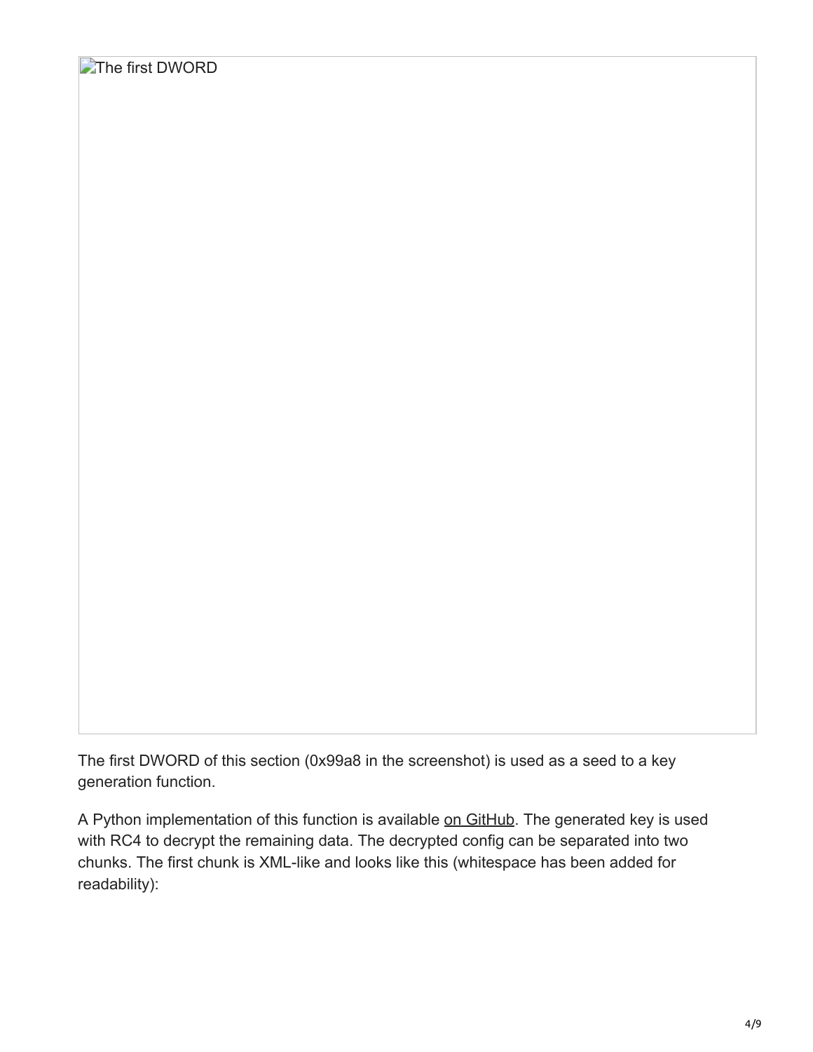The first DWORD of this section (0x99a8 in the screenshot) is used as a seed to a key generation function.

A Python implementation of this function is available [on GitHub.](https://github.com/tildedennis/malware/blob/master/snatch_loader/decrypt_cfg.py) The generated key is used with RC4 to decrypt the remaining data. The decrypted config can be separated into two chunks. The first chunk is XML-like and looks like this (whitespace has been added for readability):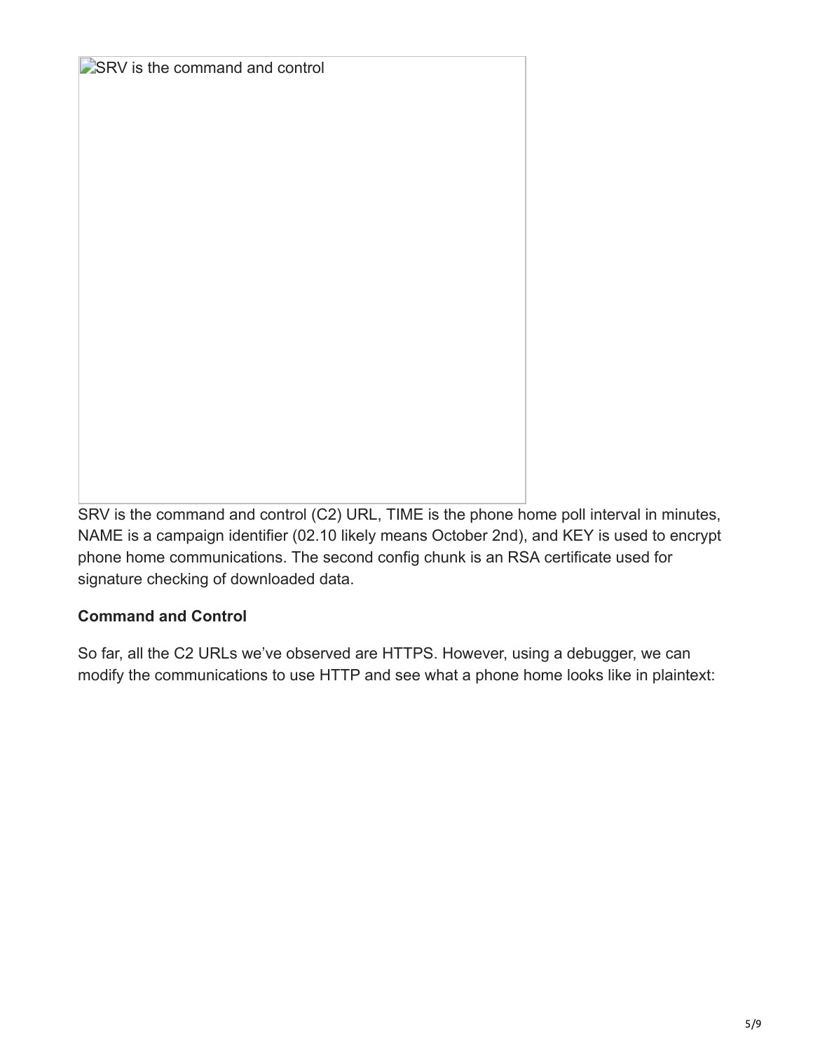#### SRV is the command and control

SRV is the command and control (C2) URL, TIME is the phone home poll interval in minutes, NAME is a campaign identifier (02.10 likely means October 2nd), and KEY is used to encrypt phone home communications. The second config chunk is an RSA certificate used for signature checking of downloaded data.

#### **Command and Control**

So far, all the C2 URLs we've observed are HTTPS. However, using a debugger, we can modify the communications to use HTTP and see what a phone home looks like in plaintext: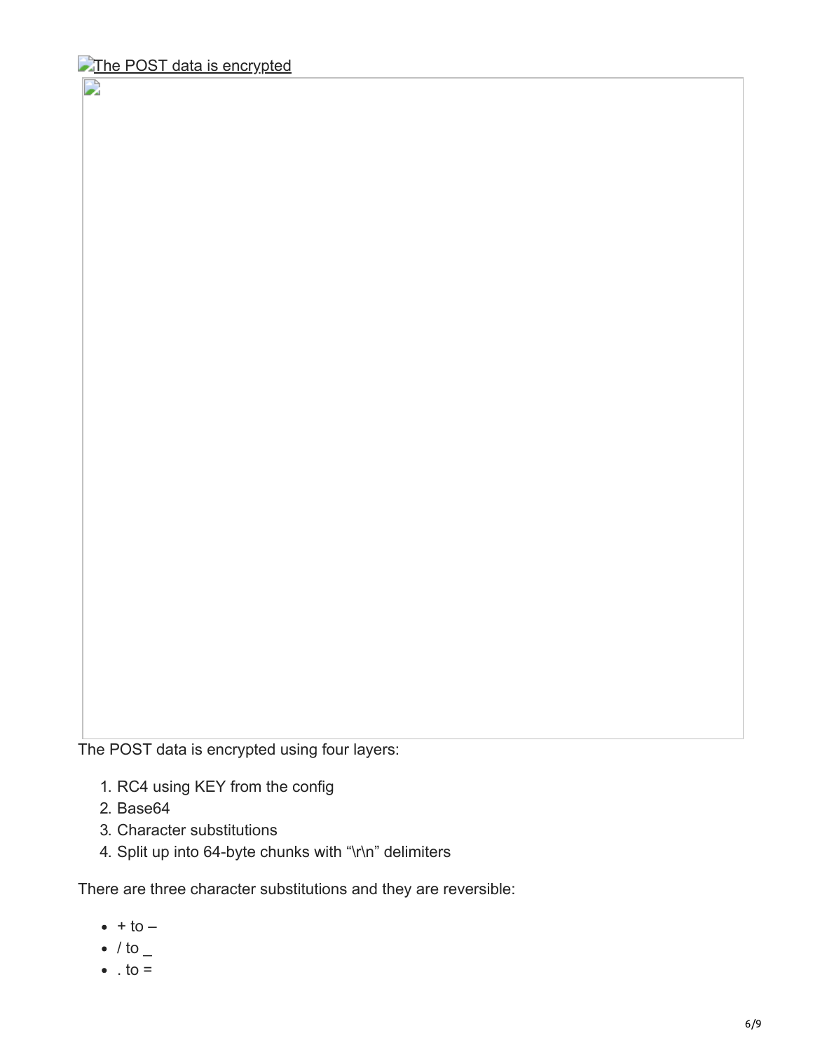D

The POST data is encrypted using four layers:

- 1. RC4 using KEY from the config
- 2. Base64
- 3. Character substitutions
- 4. Split up into 64-byte chunks with "\r\n" delimiters

There are three character substitutions and they are reversible:

- $\bullet$  + to  $-$
- $\bullet$  / to  $\_$
- $\bullet$  . to =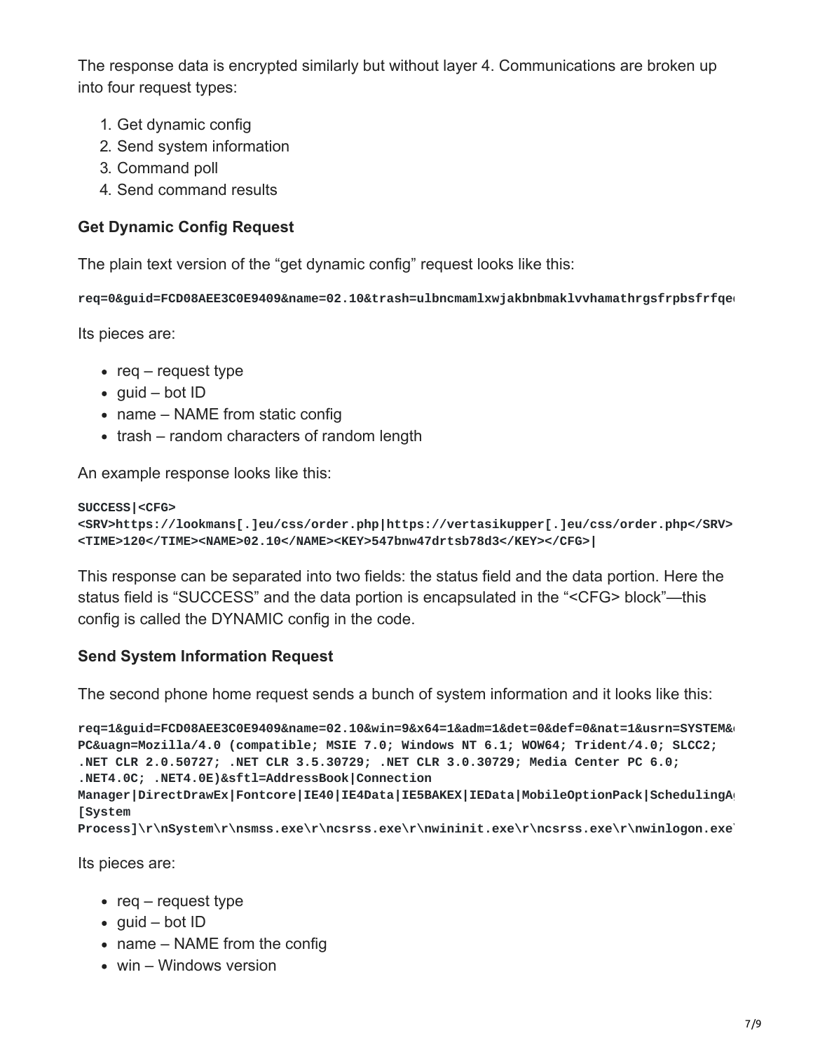The response data is encrypted similarly but without layer 4. Communications are broken up into four request types:

- 1. Get dynamic config
- 2. Send system information
- 3. Command poll
- 4. Send command results

#### **Get Dynamic Config Request**

The plain text version of the "get dynamic config" request looks like this:

**req=0&guid=FCD08AEE3C0E9409&name=02.10&trash=ulbncmamlxwjakbnbmaklvvhamathrgsfrpbsfrfqeq**

Its pieces are:

- req  $-$  request type
- guid bot  $ID$
- name NAME from static config
- trash random characters of random length

An example response looks like this:

```
SUCCESS|<CFG>
<SRV>https://lookmans[.]eu/css/order.php|https://vertasikupper[.]eu/css/order.php</SRV>
<TIME>120</TIME><NAME>02.10</NAME><KEY>547bnw47drtsb78d3</KEY></CFG>|
```
This response can be separated into two fields: the status field and the data portion. Here the status field is "SUCCESS" and the data portion is encapsulated in the "<CFG> block"—this config is called the DYNAMIC config in the code.

#### **Send System Information Request**

The second phone home request sends a bunch of system information and it looks like this:

```
req=1&guid=FCD08AEE3C0E9409&name=02.10&win=9&x64=1&adm=1&det=0&def=0&nat=1&usrn=SYSTEM&c
PC&uagn=Mozilla/4.0 (compatible; MSIE 7.0; Windows NT 6.1; WOW64; Trident/4.0; SLCC2;
.NET CLR 2.0.50727; .NET CLR 3.5.30729; .NET CLR 3.0.30729; Media Center PC 6.0;
.NET4.0C; .NET4.0E)&sftl=AddressBook|Connection
Manager|DirectDrawEx|Fontcore|IE40|IE4Data|IE5BAKEX|IEData|MobileOptionPack|SchedulingAg
[System
Process]\r\nSystem\r\nsmss.exe\r\ncsrss.exe\r\nwininit.exe\r\ncsrss.exe\r\nwinlogon.exe\
```
Its pieces are:

- req request type
- $\bullet$  quid bot ID
- name NAME from the config
- win Windows version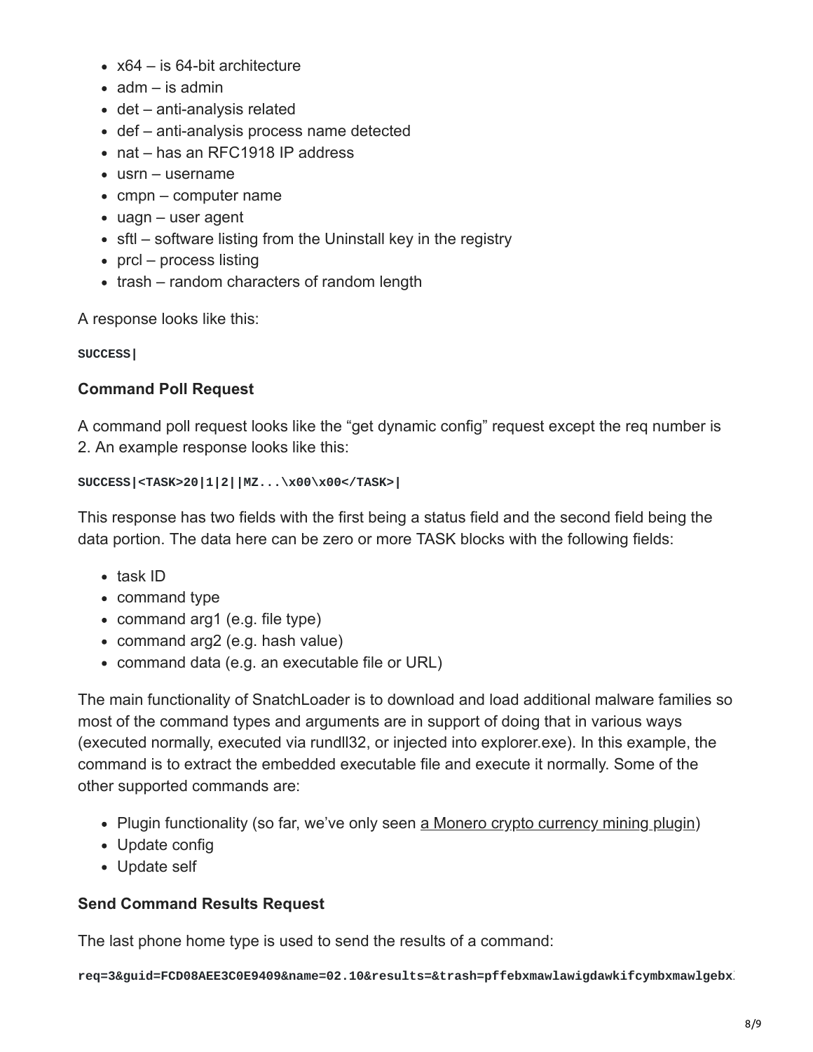- x64 is 64-bit architecture
- $\bullet$  adm is admin
- det anti-analysis related
- def anti-analysis process name detected
- nat has an RFC1918 IP address
- usrn username
- $\bullet$  cmpn computer name
- uagn user agent
- sftl software listing from the Uninstall key in the registry
- $prcl process$  listing
- trash random characters of random length

A response looks like this:

#### **SUCCESS|**

#### **Command Poll Request**

A command poll request looks like the "get dynamic config" request except the req number is 2. An example response looks like this:

**SUCCESS|<TASK>20|1|2||MZ...\x00\x00</TASK>|**

This response has two fields with the first being a status field and the second field being the data portion. The data here can be zero or more TASK blocks with the following fields:

- task ID
- command type
- command arg1 (e.g. file type)
- command arg2 (e.g. hash value)
- command data (e.g. an executable file or URL)

The main functionality of SnatchLoader is to download and load additional malware families so most of the command types and arguments are in support of doing that in various ways (executed normally, executed via rundll32, or injected into explorer.exe). In this example, the command is to extract the embedded executable file and execute it normally. Some of the other supported commands are:

- Plugin functionality (so far, we've only seen [a Monero crypto currency mining plugin](https://www.virustotal.com/#/file/142753b36c6fc9b29ba5f2ca3464e42c7fa1f70c7d165c7d446f2ab58a66a9b9/detection))
- Update config
- Update self

#### **Send Command Results Request**

The last phone home type is used to send the results of a command:

**req=3&guid=FCD08AEE3C0E9409&name=02.10&results=&trash=pffebxmawlawigdawkifcymbxmawlgebxl**